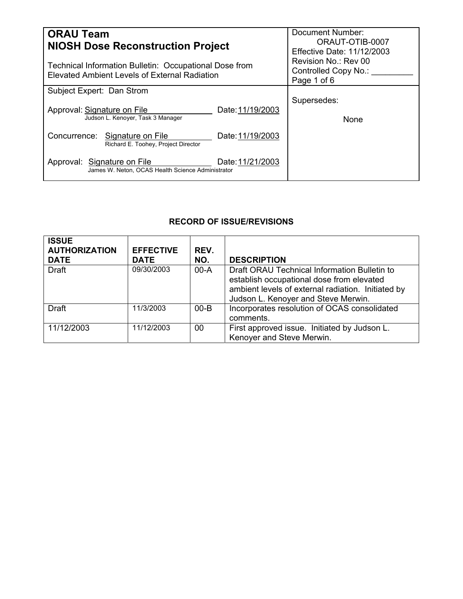| <b>ORAU Team</b><br><b>NIOSH Dose Reconstruction Project</b>                                            | Document Number:<br>ORAUT-OTIB-0007<br><b>Effective Date: 11/12/2003</b> |  |
|---------------------------------------------------------------------------------------------------------|--------------------------------------------------------------------------|--|
| Technical Information Bulletin: Occupational Dose from<br>Elevated Ambient Levels of External Radiation | Revision No.: Rev 00<br>Controlled Copy No.:<br>Page 1 of 6              |  |
| Subject Expert: Dan Strom                                                                               |                                                                          |  |
| Approval: Signature on File<br>Date: 11/19/2003<br>Judson L. Kenover, Task 3 Manager                    | Supersedes:<br>None                                                      |  |
| Concurrence: Signature on File<br>Date: 11/19/2003<br>Richard E. Toohey, Project Director               |                                                                          |  |
| Date: 11/21/2003<br>Approval: Signature on File<br>James W. Neton, OCAS Health Science Administrator    |                                                                          |  |

# **RECORD OF ISSUE/REVISIONS**

| <b>ISSUE</b><br><b>AUTHORIZATION</b><br><b>DATE</b> | <b>EFFECTIVE</b><br><b>DATE</b> | REV.<br>NO. | <b>DESCRIPTION</b>                                                                                                                                                                     |
|-----------------------------------------------------|---------------------------------|-------------|----------------------------------------------------------------------------------------------------------------------------------------------------------------------------------------|
| <b>Draft</b>                                        | 09/30/2003                      | $00-A$      | Draft ORAU Technical Information Bulletin to<br>establish occupational dose from elevated<br>ambient levels of external radiation. Initiated by<br>Judson L. Kenoyer and Steve Merwin. |
| <b>Draft</b>                                        | 11/3/2003                       | $00 - B$    | Incorporates resolution of OCAS consolidated<br>comments.                                                                                                                              |
| 11/12/2003                                          | 11/12/2003                      | $00\,$      | First approved issue. Initiated by Judson L.<br>Kenoyer and Steve Merwin.                                                                                                              |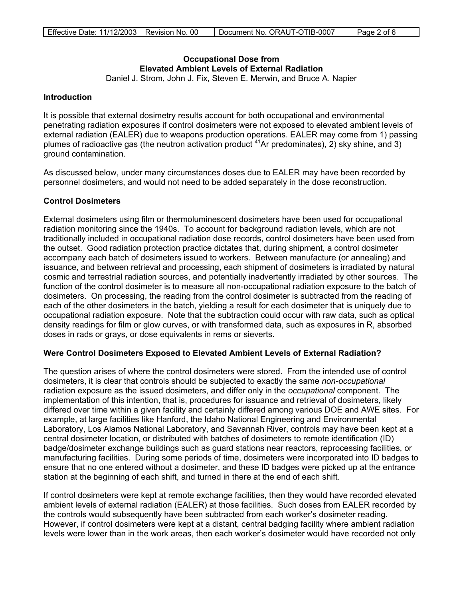# **Occupational Dose from Elevated Ambient Levels of External Radiation**

Daniel J. Strom, John J. Fix, Steven E. Merwin, and Bruce A. Napier

## **Introduction**

It is possible that external dosimetry results account for both occupational and environmental penetrating radiation exposures if control dosimeters were not exposed to elevated ambient levels of external radiation (EALER) due to weapons production operations. EALER may come from 1) passing plumes of radioactive gas (the neutron activation product  $4^{1}$ Ar predominates), 2) sky shine, and 3) ground contamination.

As discussed below, under many circumstances doses due to EALER may have been recorded by personnel dosimeters, and would not need to be added separately in the dose reconstruction.

# **Control Dosimeters**

External dosimeters using film or thermoluminescent dosimeters have been used for occupational radiation monitoring since the 1940s. To account for background radiation levels, which are not traditionally included in occupational radiation dose records, control dosimeters have been used from the outset. Good radiation protection practice dictates that, during shipment, a control dosimeter accompany each batch of dosimeters issued to workers. Between manufacture (or annealing) and issuance, and between retrieval and processing, each shipment of dosimeters is irradiated by natural cosmic and terrestrial radiation sources, and potentially inadvertently irradiated by other sources. The function of the control dosimeter is to measure all non-occupational radiation exposure to the batch of dosimeters. On processing, the reading from the control dosimeter is subtracted from the reading of each of the other dosimeters in the batch, yielding a result for each dosimeter that is uniquely due to occupational radiation exposure. Note that the subtraction could occur with raw data, such as optical density readings for film or glow curves, or with transformed data, such as exposures in R, absorbed doses in rads or grays, or dose equivalents in rems or sieverts.

## **Were Control Dosimeters Exposed to Elevated Ambient Levels of External Radiation?**

The question arises of where the control dosimeters were stored. From the intended use of control dosimeters, it is clear that controls should be subjected to exactly the same *non-occupational*  radiation exposure as the issued dosimeters, and differ only in the *occupational* component. The implementation of this intention, that is, procedures for issuance and retrieval of dosimeters, likely differed over time within a given facility and certainly differed among various DOE and AWE sites. For example, at large facilities like Hanford, the Idaho National Engineering and Environmental Laboratory, Los Alamos National Laboratory, and Savannah River, controls may have been kept at a central dosimeter location, or distributed with batches of dosimeters to remote identification (ID) badge/dosimeter exchange buildings such as guard stations near reactors, reprocessing facilities, or manufacturing facilities. During some periods of time, dosimeters were incorporated into ID badges to ensure that no one entered without a dosimeter, and these ID badges were picked up at the entrance station at the beginning of each shift, and turned in there at the end of each shift.

If control dosimeters were kept at remote exchange facilities, then they would have recorded elevated ambient levels of external radiation (EALER) at those facilities. Such doses from EALER recorded by the controls would subsequently have been subtracted from each worker's dosimeter reading. However, if control dosimeters were kept at a distant, central badging facility where ambient radiation levels were lower than in the work areas, then each worker's dosimeter would have recorded not only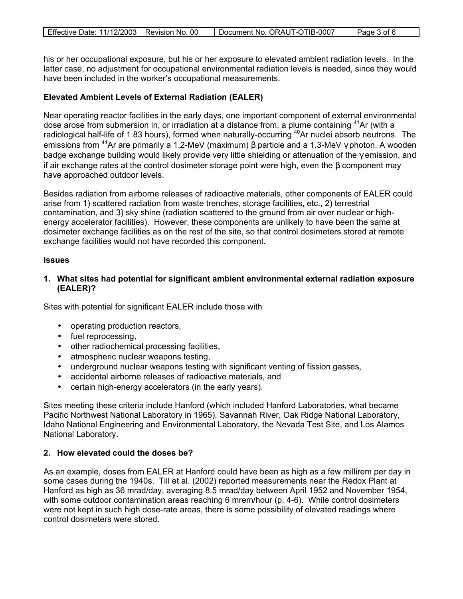|  | Effective Date: 11/12/2003   Revision No. 00 |  | Document No. ORAUT-OTIB-0007 | Page 3 of 6 |
|--|----------------------------------------------|--|------------------------------|-------------|
|--|----------------------------------------------|--|------------------------------|-------------|

his or her occupational exposure, but his or her exposure to elevated ambient radiation levels. In the latter case, no adjustment for occupational environmental radiation levels is needed, since they would have been included in the worker's occupational measurements.

# **Elevated Ambient Levels of External Radiation (EALER)**

Near operating reactor facilities in the early days, one important component of external environmental dose arose from submersion in, or irradiation at a distance from, a plume containing <sup>41</sup>Ar (with a radiological half-life of 1.83 hours), formed when naturally-occurring <sup>40</sup>Ar nuclei absorb neutrons. The emissions from <sup>41</sup>Ar are primarily a 1.2-MeV (maximum) β particle and a 1.3-MeV  $\gamma$  photon. A wooden badge exchange building would likely provide very little shielding or attenuation of the γ emission, and if air exchange rates at the control dosimeter storage point were high, even the β component may have approached outdoor levels.

Besides radiation from airborne releases of radioactive materials, other components of EALER could arise from 1) scattered radiation from waste trenches, storage facilities, etc., 2) terrestrial contamination, and 3) sky shine (radiation scattered to the ground from air over nuclear or highenergy accelerator facilities). However, these components are unlikely to have been the same at dosimeter exchange facilities as on the rest of the site, so that control dosimeters stored at remote exchange facilities would not have recorded this component.

#### **Issues**

**1. What sites had potential for significant ambient environmental external radiation exposure (EALER)?** 

Sites with potential for significant EALER include those with

- operating production reactors,
- fuel reprocessing,
- other radiochemical processing facilities,
- atmospheric nuclear weapons testing,
- underground nuclear weapons testing with significant venting of fission gasses,
- accidental airborne releases of radioactive materials, and
- certain high-energy accelerators (in the early years).

Sites meeting these criteria include Hanford (which included Hanford Laboratories, what became Pacific Northwest National Laboratory in 1965), Savannah River, Oak Ridge National Laboratory, Idaho National Engineering and Environmental Laboratory, the Nevada Test Site, and Los Alamos National Laboratory.

## **2. How elevated could the doses be?**

As an example, doses from EALER at Hanford could have been as high as a few millirem per day in some cases during the 1940s. Till et al. (2002) reported measurements near the Redox Plant at Hanford as high as 36 mrad/day, averaging 8.5 mrad/day between April 1952 and November 1954, with some outdoor contamination areas reaching 6 mrem/hour (p. 4-6). While control dosimeters were not kept in such high dose-rate areas, there is some possibility of elevated readings where control dosimeters were stored.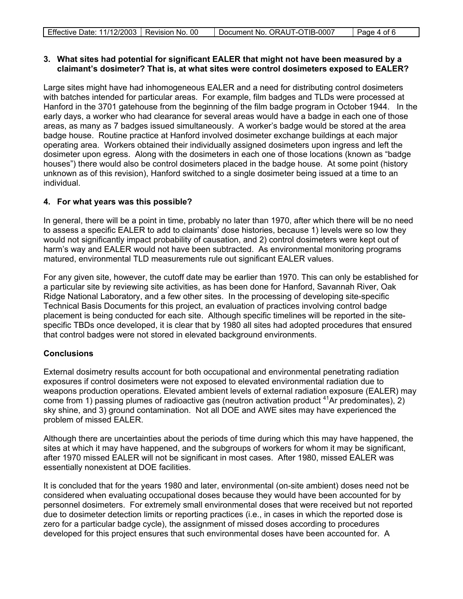| Effective Date: 11/12/2003   Revision No. 00 |  | Document No. ORAUT-OTIB-0007 | Page 4 of 6 |
|----------------------------------------------|--|------------------------------|-------------|
|----------------------------------------------|--|------------------------------|-------------|

## **3. What sites had potential for significant EALER that might not have been measured by a claimant's dosimeter? That is, at what sites were control dosimeters exposed to EALER?**

Large sites might have had inhomogeneous EALER and a need for distributing control dosimeters with batches intended for particular areas. For example, film badges and TLDs were processed at Hanford in the 3701 gatehouse from the beginning of the film badge program in October 1944. In the early days, a worker who had clearance for several areas would have a badge in each one of those areas, as many as 7 badges issued simultaneously. A worker's badge would be stored at the area badge house. Routine practice at Hanford involved dosimeter exchange buildings at each major operating area. Workers obtained their individually assigned dosimeters upon ingress and left the dosimeter upon egress. Along with the dosimeters in each one of those locations (known as "badge houses") there would also be control dosimeters placed in the badge house. At some point (history unknown as of this revision), Hanford switched to a single dosimeter being issued at a time to an individual.

# **4. For what years was this possible?**

In general, there will be a point in time, probably no later than 1970, after which there will be no need to assess a specific EALER to add to claimants' dose histories, because 1) levels were so low they would not significantly impact probability of causation, and 2) control dosimeters were kept out of harm's way and EALER would not have been subtracted. As environmental monitoring programs matured, environmental TLD measurements rule out significant EALER values.

For any given site, however, the cutoff date may be earlier than 1970. This can only be established for a particular site by reviewing site activities, as has been done for Hanford, Savannah River, Oak Ridge National Laboratory, and a few other sites. In the processing of developing site-specific Technical Basis Documents for this project, an evaluation of practices involving control badge placement is being conducted for each site. Although specific timelines will be reported in the sitespecific TBDs once developed, it is clear that by 1980 all sites had adopted procedures that ensured that control badges were not stored in elevated background environments.

# **Conclusions**

External dosimetry results account for both occupational and environmental penetrating radiation exposures if control dosimeters were not exposed to elevated environmental radiation due to weapons production operations. Elevated ambient levels of external radiation exposure (EALER) may come from 1) passing plumes of radioactive gas (neutron activation product  $41$ Ar predominates), 2) sky shine, and 3) ground contamination. Not all DOE and AWE sites may have experienced the problem of missed EALER.

Although there are uncertainties about the periods of time during which this may have happened, the sites at which it may have happened, and the subgroups of workers for whom it may be significant, after 1970 missed EALER will not be significant in most cases. After 1980, missed EALER was essentially nonexistent at DOE facilities.

It is concluded that for the years 1980 and later, environmental (on-site ambient) doses need not be considered when evaluating occupational doses because they would have been accounted for by personnel dosimeters. For extremely small environmental doses that were received but not reported due to dosimeter detection limits or reporting practices (i.e., in cases in which the reported dose is zero for a particular badge cycle), the assignment of missed doses according to procedures developed for this project ensures that such environmental doses have been accounted for. A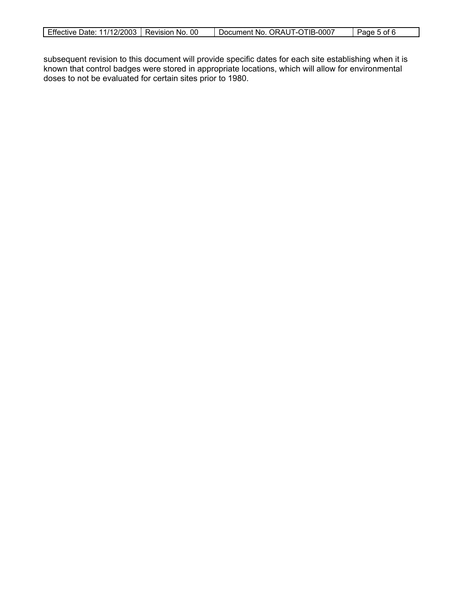| Document No. ORAUT-OTIB-0007<br>Effective Date: 11/12/2003   Revision No. 00<br>Page 5 of 6 |
|---------------------------------------------------------------------------------------------|
|---------------------------------------------------------------------------------------------|

subsequent revision to this document will provide specific dates for each site establishing when it is known that control badges were stored in appropriate locations, which will allow for environmental doses to not be evaluated for certain sites prior to 1980.